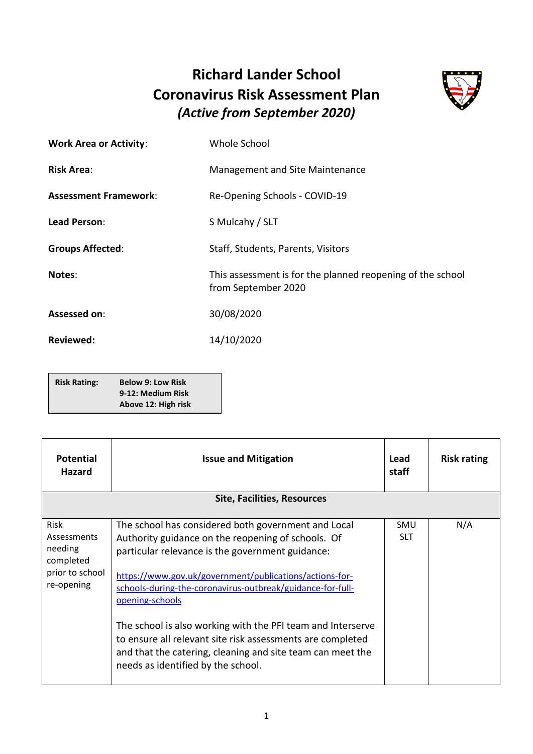## **Richard Lander School Coronavirus Risk Assessment Plan** *(Active from September 2020)*



| <b>Work Area or Activity:</b> | Whole School                                                                      |
|-------------------------------|-----------------------------------------------------------------------------------|
| <b>Risk Area:</b>             | Management and Site Maintenance                                                   |
| <b>Assessment Framework:</b>  | Re-Opening Schools - COVID-19                                                     |
| Lead Person:                  | S Mulcahy / SLT                                                                   |
| <b>Groups Affected:</b>       | Staff, Students, Parents, Visitors                                                |
| Notes:                        | This assessment is for the planned reopening of the school<br>from September 2020 |
| Assessed on:                  | 30/08/2020                                                                        |
| <b>Reviewed:</b>              | 14/10/2020                                                                        |

| <b>Risk Rating:</b> | <b>Below 9: Low Risk</b> |
|---------------------|--------------------------|
|                     | 9-12: Medium Risk        |
|                     | Above 12: High risk      |

| <b>Potential</b><br><b>Hazard</b>                                                   | <b>Issue and Mitigation</b>                                                                                                                                                                                                                                                                                                                                                                                                                                                                                                                | Lead<br>staff     | <b>Risk rating</b> |
|-------------------------------------------------------------------------------------|--------------------------------------------------------------------------------------------------------------------------------------------------------------------------------------------------------------------------------------------------------------------------------------------------------------------------------------------------------------------------------------------------------------------------------------------------------------------------------------------------------------------------------------------|-------------------|--------------------|
|                                                                                     | <b>Site, Facilities, Resources</b>                                                                                                                                                                                                                                                                                                                                                                                                                                                                                                         |                   |                    |
| Risk<br><b>Assessments</b><br>needing<br>completed<br>prior to school<br>re-opening | The school has considered both government and Local<br>Authority guidance on the reopening of schools. Of<br>particular relevance is the government guidance:<br>https://www.gov.uk/government/publications/actions-for-<br>schools-during-the-coronavirus-outbreak/guidance-for-full-<br>opening-schools<br>The school is also working with the PFI team and Interserve<br>to ensure all relevant site risk assessments are completed<br>and that the catering, cleaning and site team can meet the<br>needs as identified by the school. | SMU<br><b>SLT</b> | N/A                |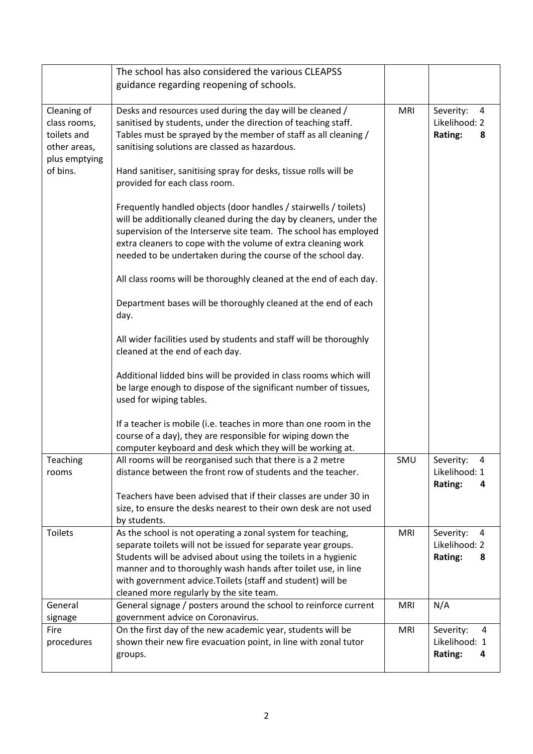|                                                                                         | The school has also considered the various CLEAPSS                                                                                                                                                                                                                                                                                                                         |            |                                                 |
|-----------------------------------------------------------------------------------------|----------------------------------------------------------------------------------------------------------------------------------------------------------------------------------------------------------------------------------------------------------------------------------------------------------------------------------------------------------------------------|------------|-------------------------------------------------|
|                                                                                         | guidance regarding reopening of schools.                                                                                                                                                                                                                                                                                                                                   |            |                                                 |
| Cleaning of<br>class rooms,<br>toilets and<br>other areas,<br>plus emptying<br>of bins. | Desks and resources used during the day will be cleaned /<br>sanitised by students, under the direction of teaching staff.<br>Tables must be sprayed by the member of staff as all cleaning /<br>sanitising solutions are classed as hazardous.<br>Hand sanitiser, sanitising spray for desks, tissue rolls will be<br>provided for each class room.                       | <b>MRI</b> | Severity:<br>4<br>Likelihood: 2<br>Rating:<br>8 |
|                                                                                         | Frequently handled objects (door handles / stairwells / toilets)<br>will be additionally cleaned during the day by cleaners, under the<br>supervision of the Interserve site team. The school has employed<br>extra cleaners to cope with the volume of extra cleaning work<br>needed to be undertaken during the course of the school day.                                |            |                                                 |
|                                                                                         | All class rooms will be thoroughly cleaned at the end of each day.<br>Department bases will be thoroughly cleaned at the end of each<br>day.                                                                                                                                                                                                                               |            |                                                 |
|                                                                                         | All wider facilities used by students and staff will be thoroughly<br>cleaned at the end of each day.                                                                                                                                                                                                                                                                      |            |                                                 |
|                                                                                         | Additional lidded bins will be provided in class rooms which will<br>be large enough to dispose of the significant number of tissues,<br>used for wiping tables.                                                                                                                                                                                                           |            |                                                 |
|                                                                                         | If a teacher is mobile (i.e. teaches in more than one room in the<br>course of a day), they are responsible for wiping down the<br>computer keyboard and desk which they will be working at.                                                                                                                                                                               |            |                                                 |
| Teaching<br>rooms                                                                       | All rooms will be reorganised such that there is a 2 metre<br>distance between the front row of students and the teacher.<br>Teachers have been advised that if their classes are under 30 in<br>size, to ensure the desks nearest to their own desk are not used<br>by students.                                                                                          | SMU        | Severity:<br>4<br>Likelihood: 1<br>Rating:<br>4 |
| <b>Toilets</b>                                                                          | As the school is not operating a zonal system for teaching,<br>separate toilets will not be issued for separate year groups.<br>Students will be advised about using the toilets in a hygienic<br>manner and to thoroughly wash hands after toilet use, in line<br>with government advice. Toilets (staff and student) will be<br>cleaned more regularly by the site team. | <b>MRI</b> | Severity:<br>4<br>Likelihood: 2<br>Rating:<br>8 |
| General<br>signage                                                                      | General signage / posters around the school to reinforce current<br>government advice on Coronavirus.                                                                                                                                                                                                                                                                      | <b>MRI</b> | N/A                                             |
| Fire<br>procedures                                                                      | On the first day of the new academic year, students will be<br>shown their new fire evacuation point, in line with zonal tutor<br>groups.                                                                                                                                                                                                                                  | <b>MRI</b> | Severity:<br>4<br>Likelihood: 1<br>Rating:<br>4 |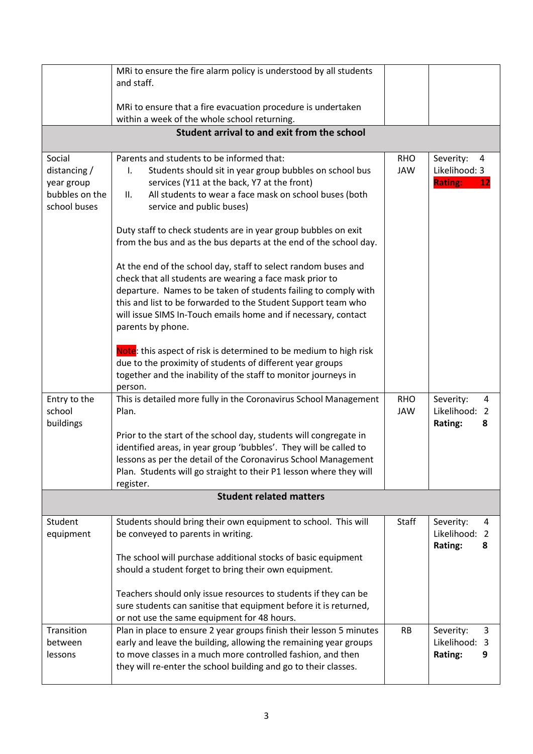|                | MRi to ensure the fire alarm policy is understood by all students         |              |                             |
|----------------|---------------------------------------------------------------------------|--------------|-----------------------------|
|                | and staff.                                                                |              |                             |
|                |                                                                           |              |                             |
|                | MRi to ensure that a fire evacuation procedure is undertaken              |              |                             |
|                | within a week of the whole school returning.                              |              |                             |
|                | Student arrival to and exit from the school                               |              |                             |
| Social         | Parents and students to be informed that:                                 | <b>RHO</b>   | Severity:                   |
| distancing $/$ | Students should sit in year group bubbles on school bus<br>I.             | <b>JAW</b>   | 4<br>Likelihood: 3          |
| year group     | services (Y11 at the back, Y7 at the front)                               |              | <b>Rating:</b><br><u>12</u> |
| bubbles on the | All students to wear a face mask on school buses (both<br>П.              |              |                             |
| school buses   | service and public buses)                                                 |              |                             |
|                |                                                                           |              |                             |
|                | Duty staff to check students are in year group bubbles on exit            |              |                             |
|                | from the bus and as the bus departs at the end of the school day.         |              |                             |
|                |                                                                           |              |                             |
|                | At the end of the school day, staff to select random buses and            |              |                             |
|                | check that all students are wearing a face mask prior to                  |              |                             |
|                | departure. Names to be taken of students failing to comply with           |              |                             |
|                | this and list to be forwarded to the Student Support team who             |              |                             |
|                | will issue SIMS In-Touch emails home and if necessary, contact            |              |                             |
|                | parents by phone.                                                         |              |                             |
|                |                                                                           |              |                             |
|                | Note: this aspect of risk is determined to be medium to high risk         |              |                             |
|                | due to the proximity of students of different year groups                 |              |                             |
|                | together and the inability of the staff to monitor journeys in<br>person. |              |                             |
| Entry to the   | This is detailed more fully in the Coronavirus School Management          | <b>RHO</b>   | Severity:<br>4              |
| school         | Plan.                                                                     | <b>JAW</b>   | Likelihood: 2               |
| buildings      |                                                                           |              | Rating:<br>8                |
|                | Prior to the start of the school day, students will congregate in         |              |                             |
|                | identified areas, in year group 'bubbles'. They will be called to         |              |                             |
|                | lessons as per the detail of the Coronavirus School Management            |              |                             |
|                | Plan. Students will go straight to their P1 lesson where they will        |              |                             |
|                | register.                                                                 |              |                             |
|                | <b>Student related matters</b>                                            |              |                             |
|                |                                                                           |              |                             |
| Student        | Students should bring their own equipment to school. This will            | <b>Staff</b> | Severity:<br>4              |
| equipment      | be conveyed to parents in writing.                                        |              | Likelihood: 2               |
|                |                                                                           |              | Rating:<br>8                |
|                | The school will purchase additional stocks of basic equipment             |              |                             |
|                | should a student forget to bring their own equipment.                     |              |                             |
|                | Teachers should only issue resources to students if they can be           |              |                             |
|                | sure students can sanitise that equipment before it is returned,          |              |                             |
|                | or not use the same equipment for 48 hours.                               |              |                             |
| Transition     | Plan in place to ensure 2 year groups finish their lesson 5 minutes       | <b>RB</b>    | Severity:<br>3              |
| between        | early and leave the building, allowing the remaining year groups          |              | Likelihood: 3               |
| lessons        | to move classes in a much more controlled fashion, and then               |              | Rating:<br>9                |
|                | they will re-enter the school building and go to their classes.           |              |                             |
|                |                                                                           |              |                             |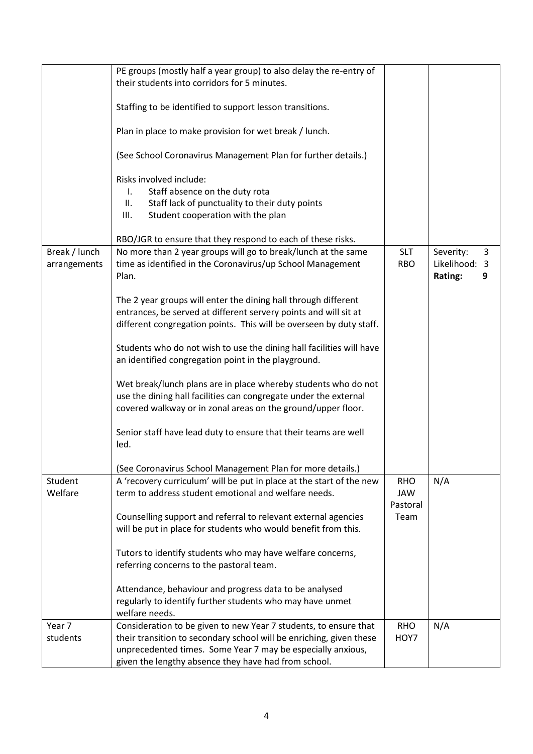|               | PE groups (mostly half a year group) to also delay the re-entry of   |            |                |
|---------------|----------------------------------------------------------------------|------------|----------------|
|               |                                                                      |            |                |
|               | their students into corridors for 5 minutes.                         |            |                |
|               |                                                                      |            |                |
|               | Staffing to be identified to support lesson transitions.             |            |                |
|               | Plan in place to make provision for wet break / lunch.               |            |                |
|               | (See School Coronavirus Management Plan for further details.)        |            |                |
|               |                                                                      |            |                |
|               | Risks involved include:                                              |            |                |
|               | Staff absence on the duty rota<br>I.                                 |            |                |
|               | Staff lack of punctuality to their duty points<br>II.                |            |                |
|               | Student cooperation with the plan<br>Ш.                              |            |                |
|               | RBO/JGR to ensure that they respond to each of these risks.          |            |                |
| Break / lunch | No more than 2 year groups will go to break/lunch at the same        | <b>SLT</b> | Severity:<br>3 |
| arrangements  | time as identified in the Coronavirus/up School Management           | <b>RBO</b> | Likelihood: 3  |
|               | Plan.                                                                |            | Rating:<br>9   |
|               |                                                                      |            |                |
|               | The 2 year groups will enter the dining hall through different       |            |                |
|               | entrances, be served at different servery points and will sit at     |            |                |
|               | different congregation points. This will be overseen by duty staff.  |            |                |
|               |                                                                      |            |                |
|               | Students who do not wish to use the dining hall facilities will have |            |                |
|               | an identified congregation point in the playground.                  |            |                |
|               |                                                                      |            |                |
|               | Wet break/lunch plans are in place whereby students who do not       |            |                |
|               | use the dining hall facilities can congregate under the external     |            |                |
|               | covered walkway or in zonal areas on the ground/upper floor.         |            |                |
|               |                                                                      |            |                |
|               | Senior staff have lead duty to ensure that their teams are well      |            |                |
|               | led.                                                                 |            |                |
|               | (See Coronavirus School Management Plan for more details.)           |            |                |
| Student       | A 'recovery curriculum' will be put in place at the start of the new | <b>RHO</b> | N/A            |
| Welfare       | term to address student emotional and welfare needs.                 | JAW        |                |
|               |                                                                      | Pastoral   |                |
|               | Counselling support and referral to relevant external agencies       | Team       |                |
|               | will be put in place for students who would benefit from this.       |            |                |
|               |                                                                      |            |                |
|               | Tutors to identify students who may have welfare concerns,           |            |                |
|               | referring concerns to the pastoral team.                             |            |                |
|               | Attendance, behaviour and progress data to be analysed               |            |                |
|               | regularly to identify further students who may have unmet            |            |                |
|               | welfare needs.                                                       |            |                |
| Year 7        | Consideration to be given to new Year 7 students, to ensure that     | <b>RHO</b> | N/A            |
| students      | their transition to secondary school will be enriching, given these  | HOY7       |                |
|               | unprecedented times. Some Year 7 may be especially anxious,          |            |                |
|               | given the lengthy absence they have had from school.                 |            |                |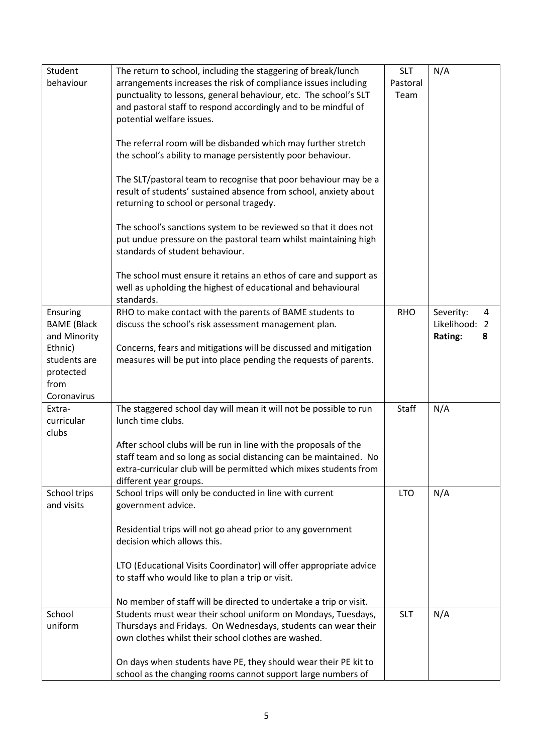| Student            | The return to school, including the staggering of break/lunch      | <b>SLT</b> | N/A               |
|--------------------|--------------------------------------------------------------------|------------|-------------------|
| behaviour          | arrangements increases the risk of compliance issues including     | Pastoral   |                   |
|                    | punctuality to lessons, general behaviour, etc. The school's SLT   | Team       |                   |
|                    | and pastoral staff to respond accordingly and to be mindful of     |            |                   |
|                    | potential welfare issues.                                          |            |                   |
|                    |                                                                    |            |                   |
|                    |                                                                    |            |                   |
|                    | The referral room will be disbanded which may further stretch      |            |                   |
|                    | the school's ability to manage persistently poor behaviour.        |            |                   |
|                    |                                                                    |            |                   |
|                    | The SLT/pastoral team to recognise that poor behaviour may be a    |            |                   |
|                    | result of students' sustained absence from school, anxiety about   |            |                   |
|                    | returning to school or personal tragedy.                           |            |                   |
|                    |                                                                    |            |                   |
|                    |                                                                    |            |                   |
|                    | The school's sanctions system to be reviewed so that it does not   |            |                   |
|                    | put undue pressure on the pastoral team whilst maintaining high    |            |                   |
|                    | standards of student behaviour.                                    |            |                   |
|                    |                                                                    |            |                   |
|                    | The school must ensure it retains an ethos of care and support as  |            |                   |
|                    | well as upholding the highest of educational and behavioural       |            |                   |
|                    | standards.                                                         |            |                   |
| Ensuring           | RHO to make contact with the parents of BAME students to           | <b>RHO</b> | Severity:<br>4    |
|                    |                                                                    |            | Likelihood:<br>-2 |
| <b>BAME</b> (Black | discuss the school's risk assessment management plan.              |            |                   |
| and Minority       |                                                                    |            | Rating:<br>8      |
| Ethnic)            | Concerns, fears and mitigations will be discussed and mitigation   |            |                   |
| students are       | measures will be put into place pending the requests of parents.   |            |                   |
| protected          |                                                                    |            |                   |
| from               |                                                                    |            |                   |
| Coronavirus        |                                                                    |            |                   |
| Extra-             | The staggered school day will mean it will not be possible to run  | Staff      | N/A               |
| curricular         | lunch time clubs.                                                  |            |                   |
|                    |                                                                    |            |                   |
| clubs              |                                                                    |            |                   |
|                    | After school clubs will be run in line with the proposals of the   |            |                   |
|                    | staff team and so long as social distancing can be maintained. No  |            |                   |
|                    | extra-curricular club will be permitted which mixes students from  |            |                   |
|                    | different year groups.                                             |            |                   |
| School trips       | School trips will only be conducted in line with current           | <b>LTO</b> | N/A               |
| and visits         | government advice.                                                 |            |                   |
|                    |                                                                    |            |                   |
|                    | Residential trips will not go ahead prior to any government        |            |                   |
|                    | decision which allows this.                                        |            |                   |
|                    |                                                                    |            |                   |
|                    |                                                                    |            |                   |
|                    | LTO (Educational Visits Coordinator) will offer appropriate advice |            |                   |
|                    | to staff who would like to plan a trip or visit.                   |            |                   |
|                    |                                                                    |            |                   |
|                    | No member of staff will be directed to undertake a trip or visit.  |            |                   |
| School             | Students must wear their school uniform on Mondays, Tuesdays,      | <b>SLT</b> | N/A               |
| uniform            | Thursdays and Fridays. On Wednesdays, students can wear their      |            |                   |
|                    | own clothes whilst their school clothes are washed.                |            |                   |
|                    |                                                                    |            |                   |
|                    |                                                                    |            |                   |
|                    | On days when students have PE, they should wear their PE kit to    |            |                   |
|                    | school as the changing rooms cannot support large numbers of       |            |                   |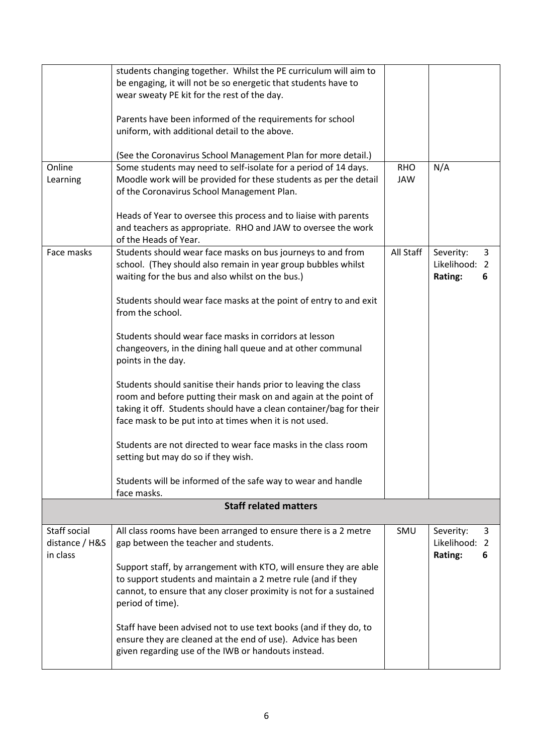|                | students changing together. Whilst the PE curriculum will aim to    |            |                |
|----------------|---------------------------------------------------------------------|------------|----------------|
|                | be engaging, it will not be so energetic that students have to      |            |                |
|                | wear sweaty PE kit for the rest of the day.                         |            |                |
|                |                                                                     |            |                |
|                | Parents have been informed of the requirements for school           |            |                |
|                | uniform, with additional detail to the above.                       |            |                |
|                |                                                                     |            |                |
|                | (See the Coronavirus School Management Plan for more detail.)       |            |                |
| Online         | Some students may need to self-isolate for a period of 14 days.     | <b>RHO</b> | N/A            |
| Learning       | Moodle work will be provided for these students as per the detail   | <b>JAW</b> |                |
|                | of the Coronavirus School Management Plan.                          |            |                |
|                |                                                                     |            |                |
|                | Heads of Year to oversee this process and to liaise with parents    |            |                |
|                | and teachers as appropriate. RHO and JAW to oversee the work        |            |                |
|                | of the Heads of Year.                                               |            |                |
| Face masks     | Students should wear face masks on bus journeys to and from         | All Staff  | Severity:<br>3 |
|                | school. (They should also remain in year group bubbles whilst       |            | Likelihood: 2  |
|                | waiting for the bus and also whilst on the bus.)                    |            | Rating:<br>6   |
|                |                                                                     |            |                |
|                | Students should wear face masks at the point of entry to and exit   |            |                |
|                | from the school.                                                    |            |                |
|                |                                                                     |            |                |
|                | Students should wear face masks in corridors at lesson              |            |                |
|                | changeovers, in the dining hall queue and at other communal         |            |                |
|                | points in the day.                                                  |            |                |
|                |                                                                     |            |                |
|                | Students should sanitise their hands prior to leaving the class     |            |                |
|                | room and before putting their mask on and again at the point of     |            |                |
|                | taking it off. Students should have a clean container/bag for their |            |                |
|                | face mask to be put into at times when it is not used.              |            |                |
|                |                                                                     |            |                |
|                | Students are not directed to wear face masks in the class room      |            |                |
|                | setting but may do so if they wish.                                 |            |                |
|                |                                                                     |            |                |
|                | Students will be informed of the safe way to wear and handle        |            |                |
|                | face masks.                                                         |            |                |
|                | <b>Staff related matters</b>                                        |            |                |
|                |                                                                     |            |                |
| Staff social   | All class rooms have been arranged to ensure there is a 2 metre     | SMU        | Severity:<br>3 |
| distance / H&S | gap between the teacher and students.                               |            | Likelihood: 2  |
| in class       |                                                                     |            | Rating:<br>6   |
|                | Support staff, by arrangement with KTO, will ensure they are able   |            |                |
|                | to support students and maintain a 2 metre rule (and if they        |            |                |
|                | cannot, to ensure that any closer proximity is not for a sustained  |            |                |
|                | period of time).                                                    |            |                |
|                |                                                                     |            |                |
|                | Staff have been advised not to use text books (and if they do, to   |            |                |
|                | ensure they are cleaned at the end of use). Advice has been         |            |                |
|                | given regarding use of the IWB or handouts instead.                 |            |                |
|                |                                                                     |            |                |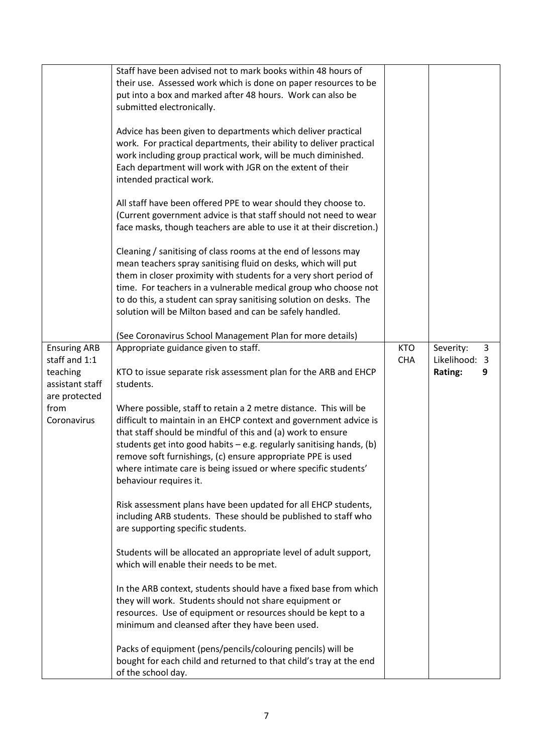|                                                                                                             | Staff have been advised not to mark books within 48 hours of<br>their use. Assessed work which is done on paper resources to be<br>put into a box and marked after 48 hours. Work can also be<br>submitted electronically.<br>Advice has been given to departments which deliver practical<br>work. For practical departments, their ability to deliver practical<br>work including group practical work, will be much diminished.<br>Each department will work with JGR on the extent of their<br>intended practical work.<br>All staff have been offered PPE to wear should they choose to.<br>(Current government advice is that staff should not need to wear<br>face masks, though teachers are able to use it at their discretion.)<br>Cleaning / sanitising of class rooms at the end of lessons may<br>mean teachers spray sanitising fluid on desks, which will put<br>them in closer proximity with students for a very short period of<br>time. For teachers in a vulnerable medical group who choose not<br>to do this, a student can spray sanitising solution on desks. The<br>solution will be Milton based and can be safely handled.<br>(See Coronavirus School Management Plan for more details)                                                      |                          |                                            |   |
|-------------------------------------------------------------------------------------------------------------|-------------------------------------------------------------------------------------------------------------------------------------------------------------------------------------------------------------------------------------------------------------------------------------------------------------------------------------------------------------------------------------------------------------------------------------------------------------------------------------------------------------------------------------------------------------------------------------------------------------------------------------------------------------------------------------------------------------------------------------------------------------------------------------------------------------------------------------------------------------------------------------------------------------------------------------------------------------------------------------------------------------------------------------------------------------------------------------------------------------------------------------------------------------------------------------------------------------------------------------------------------------------------|--------------------------|--------------------------------------------|---|
| <b>Ensuring ARB</b><br>staff and 1:1<br>teaching<br>assistant staff<br>are protected<br>from<br>Coronavirus | Appropriate guidance given to staff.<br>KTO to issue separate risk assessment plan for the ARB and EHCP<br>students.<br>Where possible, staff to retain a 2 metre distance. This will be<br>difficult to maintain in an EHCP context and government advice is<br>that staff should be mindful of this and (a) work to ensure<br>students get into good habits $-e.g.$ regularly sanitising hands, (b)<br>remove soft furnishings, (c) ensure appropriate PPE is used<br>where intimate care is being issued or where specific students'<br>behaviour requires it.<br>Risk assessment plans have been updated for all EHCP students,<br>including ARB students. These should be published to staff who<br>are supporting specific students.<br>Students will be allocated an appropriate level of adult support,<br>which will enable their needs to be met.<br>In the ARB context, students should have a fixed base from which<br>they will work. Students should not share equipment or<br>resources. Use of equipment or resources should be kept to a<br>minimum and cleansed after they have been used.<br>Packs of equipment (pens/pencils/colouring pencils) will be<br>bought for each child and returned to that child's tray at the end<br>of the school day. | <b>KTO</b><br><b>CHA</b> | Severity:<br>Likelihood: 3<br>Rating:<br>9 | 3 |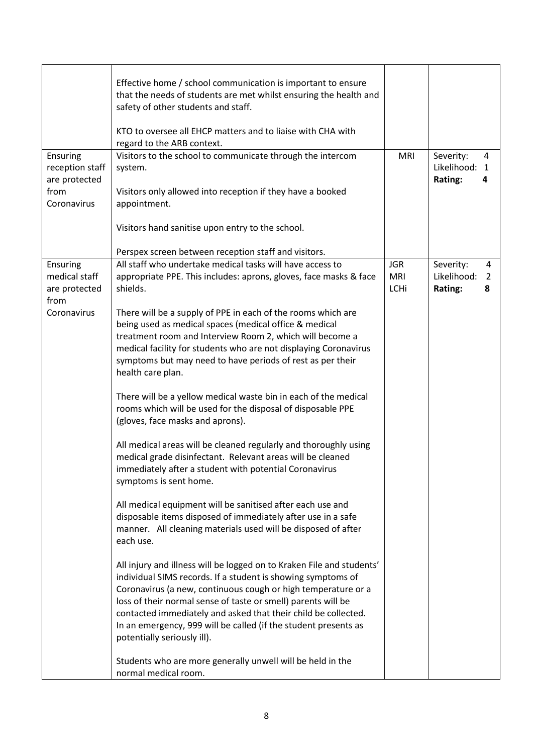|                             | Effective home / school communication is important to ensure<br>that the needs of students are met whilst ensuring the health and<br>safety of other students and staff.<br>KTO to oversee all EHCP matters and to liaise with CHA with<br>regard to the ARB context.                                                                                                                                                                       |                          |                            |        |
|-----------------------------|---------------------------------------------------------------------------------------------------------------------------------------------------------------------------------------------------------------------------------------------------------------------------------------------------------------------------------------------------------------------------------------------------------------------------------------------|--------------------------|----------------------------|--------|
| Ensuring<br>reception staff | Visitors to the school to communicate through the intercom<br>system.                                                                                                                                                                                                                                                                                                                                                                       | <b>MRI</b>               | Severity:<br>Likelihood: 1 | 4      |
| are protected<br>from       | Visitors only allowed into reception if they have a booked                                                                                                                                                                                                                                                                                                                                                                                  |                          | Rating:                    | 4      |
| Coronavirus                 | appointment.                                                                                                                                                                                                                                                                                                                                                                                                                                |                          |                            |        |
|                             | Visitors hand sanitise upon entry to the school.                                                                                                                                                                                                                                                                                                                                                                                            |                          |                            |        |
|                             | Perspex screen between reception staff and visitors.                                                                                                                                                                                                                                                                                                                                                                                        |                          |                            |        |
| Ensuring<br>medical staff   | All staff who undertake medical tasks will have access to<br>appropriate PPE. This includes: aprons, gloves, face masks & face                                                                                                                                                                                                                                                                                                              | <b>JGR</b><br><b>MRI</b> | Severity:<br>Likelihood:   | 4<br>2 |
| are protected<br>from       | shields.                                                                                                                                                                                                                                                                                                                                                                                                                                    | <b>LCHi</b>              | Rating:                    | 8      |
| Coronavirus                 | There will be a supply of PPE in each of the rooms which are<br>being used as medical spaces (medical office & medical<br>treatment room and Interview Room 2, which will become a<br>medical facility for students who are not displaying Coronavirus<br>symptoms but may need to have periods of rest as per their<br>health care plan.                                                                                                   |                          |                            |        |
|                             | There will be a yellow medical waste bin in each of the medical<br>rooms which will be used for the disposal of disposable PPE<br>(gloves, face masks and aprons).                                                                                                                                                                                                                                                                          |                          |                            |        |
|                             | All medical areas will be cleaned regularly and thoroughly using<br>medical grade disinfectant. Relevant areas will be cleaned<br>immediately after a student with potential Coronavirus<br>symptoms is sent home.                                                                                                                                                                                                                          |                          |                            |        |
|                             | All medical equipment will be sanitised after each use and<br>disposable items disposed of immediately after use in a safe<br>manner. All cleaning materials used will be disposed of after<br>each use.                                                                                                                                                                                                                                    |                          |                            |        |
|                             | All injury and illness will be logged on to Kraken File and students'<br>individual SIMS records. If a student is showing symptoms of<br>Coronavirus (a new, continuous cough or high temperature or a<br>loss of their normal sense of taste or smell) parents will be<br>contacted immediately and asked that their child be collected.<br>In an emergency, 999 will be called (if the student presents as<br>potentially seriously ill). |                          |                            |        |
|                             | Students who are more generally unwell will be held in the<br>normal medical room.                                                                                                                                                                                                                                                                                                                                                          |                          |                            |        |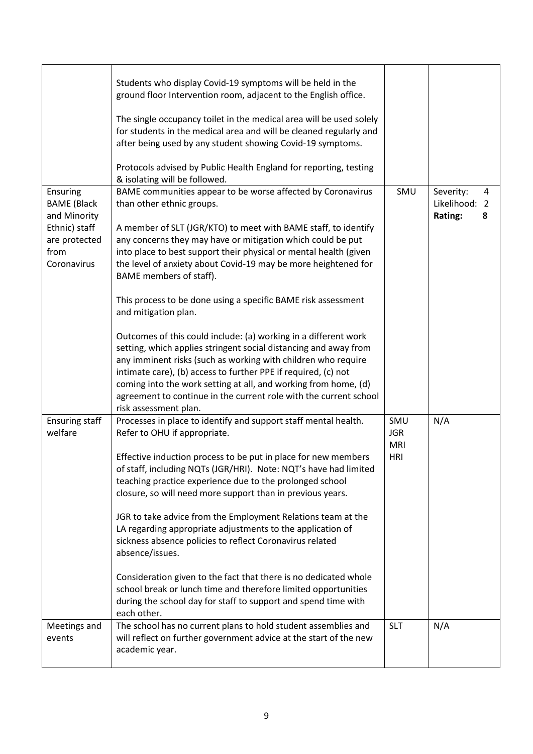|                                                                                                         | Students who display Covid-19 symptoms will be held in the<br>ground floor Intervention room, adjacent to the English office.<br>The single occupancy toilet in the medical area will be used solely<br>for students in the medical area and will be cleaned regularly and<br>after being used by any student showing Covid-19 symptoms.<br>Protocols advised by Public Health England for reporting, testing<br>& isolating will be followed.                                                                                                                                                                                                                                                                                                                                                                                                                                                                                  |                                               |                                                                 |
|---------------------------------------------------------------------------------------------------------|---------------------------------------------------------------------------------------------------------------------------------------------------------------------------------------------------------------------------------------------------------------------------------------------------------------------------------------------------------------------------------------------------------------------------------------------------------------------------------------------------------------------------------------------------------------------------------------------------------------------------------------------------------------------------------------------------------------------------------------------------------------------------------------------------------------------------------------------------------------------------------------------------------------------------------|-----------------------------------------------|-----------------------------------------------------------------|
| Ensuring<br><b>BAME</b> (Black<br>and Minority<br>Ethnic) staff<br>are protected<br>from<br>Coronavirus | BAME communities appear to be worse affected by Coronavirus<br>than other ethnic groups.<br>A member of SLT (JGR/KTO) to meet with BAME staff, to identify<br>any concerns they may have or mitigation which could be put<br>into place to best support their physical or mental health (given<br>the level of anxiety about Covid-19 may be more heightened for<br>BAME members of staff).<br>This process to be done using a specific BAME risk assessment<br>and mitigation plan.<br>Outcomes of this could include: (a) working in a different work<br>setting, which applies stringent social distancing and away from<br>any imminent risks (such as working with children who require<br>intimate care), (b) access to further PPE if required, (c) not<br>coming into the work setting at all, and working from home, (d)<br>agreement to continue in the current role with the current school<br>risk assessment plan. | SMU                                           | Severity:<br>4<br>Likelihood:<br>$\overline{2}$<br>Rating:<br>8 |
| <b>Ensuring staff</b><br>welfare                                                                        | Processes in place to identify and support staff mental health.<br>Refer to OHU if appropriate.<br>Effective induction process to be put in place for new members<br>of staff, including NQTs (JGR/HRI). Note: NQT's have had limited<br>teaching practice experience due to the prolonged school<br>closure, so will need more support than in previous years.<br>JGR to take advice from the Employment Relations team at the<br>LA regarding appropriate adjustments to the application of<br>sickness absence policies to reflect Coronavirus related<br>absence/issues.<br>Consideration given to the fact that there is no dedicated whole<br>school break or lunch time and therefore limited opportunities<br>during the school day for staff to support and spend time with<br>each other.                                                                                                                             | SMU<br><b>JGR</b><br><b>MRI</b><br><b>HRI</b> | N/A                                                             |
| Meetings and<br>events                                                                                  | The school has no current plans to hold student assemblies and<br>will reflect on further government advice at the start of the new<br>academic year.                                                                                                                                                                                                                                                                                                                                                                                                                                                                                                                                                                                                                                                                                                                                                                           | <b>SLT</b>                                    | N/A                                                             |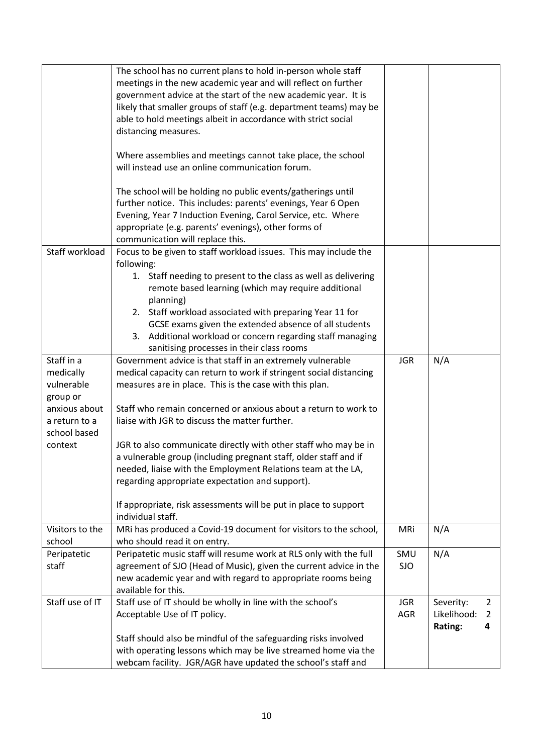|                 | The school has no current plans to hold in-person whole staff      |            |             |                |
|-----------------|--------------------------------------------------------------------|------------|-------------|----------------|
|                 | meetings in the new academic year and will reflect on further      |            |             |                |
|                 | government advice at the start of the new academic year. It is     |            |             |                |
|                 | likely that smaller groups of staff (e.g. department teams) may be |            |             |                |
|                 | able to hold meetings albeit in accordance with strict social      |            |             |                |
|                 | distancing measures.                                               |            |             |                |
|                 |                                                                    |            |             |                |
|                 |                                                                    |            |             |                |
|                 | Where assemblies and meetings cannot take place, the school        |            |             |                |
|                 | will instead use an online communication forum.                    |            |             |                |
|                 |                                                                    |            |             |                |
|                 | The school will be holding no public events/gatherings until       |            |             |                |
|                 | further notice. This includes: parents' evenings, Year 6 Open      |            |             |                |
|                 | Evening, Year 7 Induction Evening, Carol Service, etc. Where       |            |             |                |
|                 | appropriate (e.g. parents' evenings), other forms of               |            |             |                |
|                 | communication will replace this.                                   |            |             |                |
| Staff workload  | Focus to be given to staff workload issues. This may include the   |            |             |                |
|                 | following:                                                         |            |             |                |
|                 | 1. Staff needing to present to the class as well as delivering     |            |             |                |
|                 | remote based learning (which may require additional                |            |             |                |
|                 | planning)                                                          |            |             |                |
|                 | 2. Staff workload associated with preparing Year 11 for            |            |             |                |
|                 | GCSE exams given the extended absence of all students              |            |             |                |
|                 | 3. Additional workload or concern regarding staff managing         |            |             |                |
|                 |                                                                    |            |             |                |
| Staff in a      | sanitising processes in their class rooms                          |            |             |                |
|                 | Government advice is that staff in an extremely vulnerable         | <b>JGR</b> | N/A         |                |
| medically       | medical capacity can return to work if stringent social distancing |            |             |                |
| vulnerable      | measures are in place. This is the case with this plan.            |            |             |                |
| group or        |                                                                    |            |             |                |
| anxious about   | Staff who remain concerned or anxious about a return to work to    |            |             |                |
| a return to a   | liaise with JGR to discuss the matter further.                     |            |             |                |
| school based    |                                                                    |            |             |                |
| context         | JGR to also communicate directly with other staff who may be in    |            |             |                |
|                 | a vulnerable group (including pregnant staff, older staff and if   |            |             |                |
|                 | needed, liaise with the Employment Relations team at the LA,       |            |             |                |
|                 | regarding appropriate expectation and support).                    |            |             |                |
|                 |                                                                    |            |             |                |
|                 | If appropriate, risk assessments will be put in place to support   |            |             |                |
|                 | individual staff.                                                  |            |             |                |
| Visitors to the | MRi has produced a Covid-19 document for visitors to the school,   | MRi        | N/A         |                |
| school          | who should read it on entry.                                       |            |             |                |
| Peripatetic     | Peripatetic music staff will resume work at RLS only with the full | SMU        | N/A         |                |
| staff           | agreement of SJO (Head of Music), given the current advice in the  | <b>SJO</b> |             |                |
|                 | new academic year and with regard to appropriate rooms being       |            |             |                |
|                 | available for this.                                                |            |             |                |
| Staff use of IT | Staff use of IT should be wholly in line with the school's         | <b>JGR</b> | Severity:   | $\overline{2}$ |
|                 | Acceptable Use of IT policy.                                       | <b>AGR</b> | Likelihood: | 2              |
|                 |                                                                    |            | Rating:     | 4              |
|                 | Staff should also be mindful of the safeguarding risks involved    |            |             |                |
|                 |                                                                    |            |             |                |
|                 | with operating lessons which may be live streamed home via the     |            |             |                |
|                 | webcam facility. JGR/AGR have updated the school's staff and       |            |             |                |